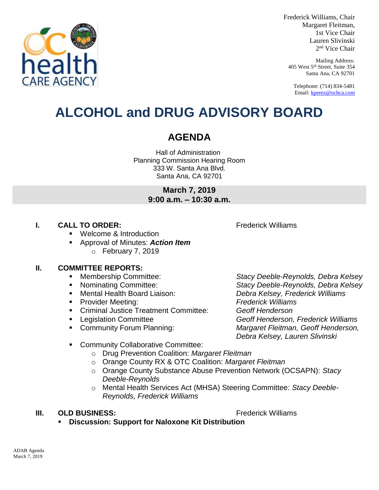

Frederick Williams, Chair Margaret Fleitman, 1st Vice Chair Lauren Slivinski 2 nd Vice Chair

Mailing Address: 405 West 5th Street, Suite 354 Santa Ana, CA 92701

Telephone: (714) 834-5481 Email[: kperez@ochca.com](mailto:kperez@ochca.com)

# **ALCOHOL and DRUG ADVISORY BOARD**

## **AGENDA**

Hall of Administration Planning Commission Hearing Room 333 W. Santa Ana Blvd. Santa Ana, CA 92701

> **March 7, 2019 9:00 a.m. – 10:30 a.m.**

### **I. CALL TO ORDER:** Frederick Williams

Welcome & Introduction

 Approval of Minutes: *Action Item* o February 7, 2019

#### **II. COMMITTEE REPORTS:**

- 
- 
- 
- Provider Meeting: *Frederick Williams*
- Criminal Justice Treatment Committee: *Geoff Henderson*
- 
- 

 Membership Committee: *Stacy Deeble-Reynolds, Debra Kelsey* Nominating Committee: *Stacy Deeble-Reynolds, Debra Kelsey* Mental Health Board Liaison: *Debra Kelsey, Frederick Williams* Legislation Committee *Geoff Henderson, Frederick Williams*  Community Forum Planning: *Margaret Fleitman, Geoff Henderson, Debra Kelsey, Lauren Slivinski*

- **EXECOMMUNITY Collaborative Committee:** 
	- o Drug Prevention Coalition: *Margaret Fleitman*
	- o Orange County RX & OTC Coalition: *Margaret Fleitman*
	- o Orange County Substance Abuse Prevention Network (OCSAPN): *Stacy Deeble-Reynolds*
	- o Mental Health Services Act (MHSA) Steering Committee: *Stacy Deeble-Reynolds, Frederick Williams*

#### **III. OLD BUSINESS:** The Contract of the Contract of Trederick Williams

**Discussion: Support for Naloxone Kit Distribution**